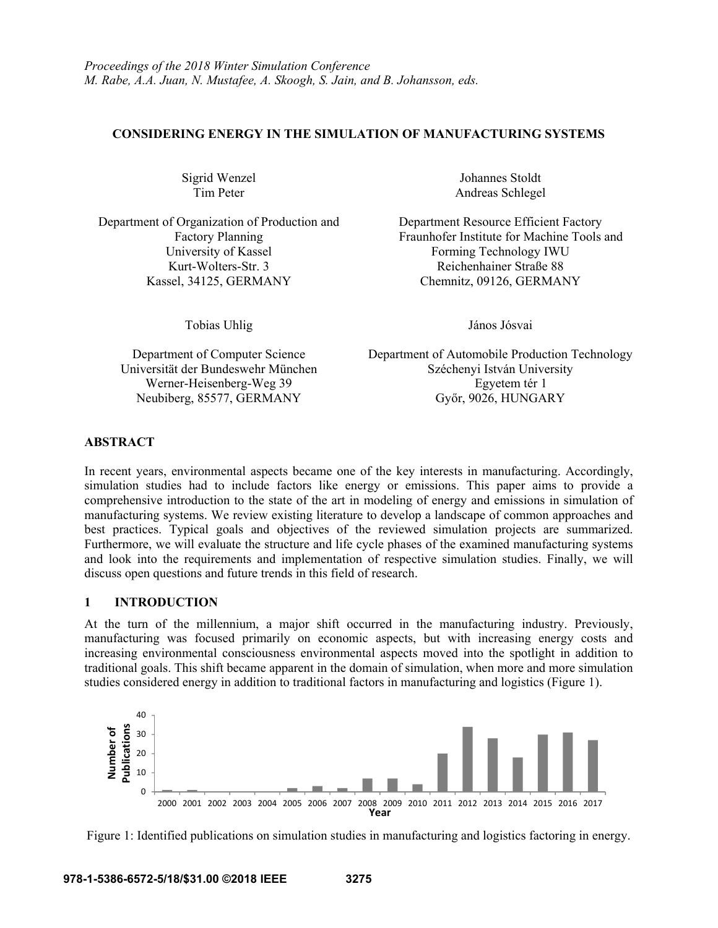### **CONSIDERING ENERGY IN THE SIMULATION OF MANUFACTURING SYSTEMS**

Department of Organization of Production and Factory Planning University of Kassel Forming Technology IWU Kurt-Wolters-Str. 3 Reichenhainer Straße 88 Kassel, 34125, GERMANY Chemnitz, 09126, GERMANY

Tobias Uhlig János Jósvai

Sigrid Wenzel Johannes Stoldt Tim Peter Andreas Schlegel

> Department Resource Efficient Factory Fraunhofer Institute for Machine Tools and

Department of Computer Science Department of Automobile Production Technology Universität der Bundeswehr München Széchenyi István University Werner-Heisenberg-Weg 39 Egyetem tér 1 Neubiberg, 85577, GERMANY Győr, 9026, HUNGARY

# **ABSTRACT**

In recent years, environmental aspects became one of the key interests in manufacturing. Accordingly, simulation studies had to include factors like energy or emissions. This paper aims to provide a comprehensive introduction to the state of the art in modeling of energy and emissions in simulation of manufacturing systems. We review existing literature to develop a landscape of common approaches and best practices. Typical goals and objectives of the reviewed simulation projects are summarized. Furthermore, we will evaluate the structure and life cycle phases of the examined manufacturing systems and look into the requirements and implementation of respective simulation studies. Finally, we will discuss open questions and future trends in this field of research.

# **1 INTRODUCTION**

At the turn of the millennium, a major shift occurred in the manufacturing industry. Previously, manufacturing was focused primarily on economic aspects, but with increasing energy costs and increasing environmental consciousness environmental aspects moved into the spotlight in addition to traditional goals. This shift became apparent in the domain of simulation, when more and more simulation studies considered energy in addition to traditional factors in manufacturing and logistics (Figure 1).



Figure 1: Identified publications on simulation studies in manufacturing and logistics factoring in energy.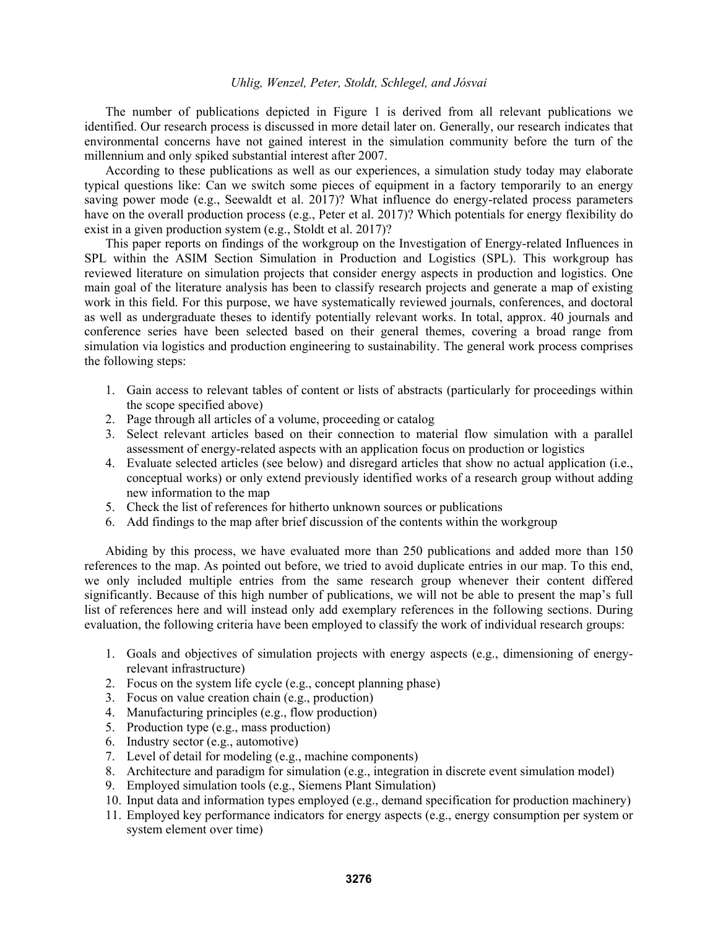The number of publications depicted in Figure 1 is derived from all relevant publications we identified. Our research process is discussed in more detail later on. Generally, our research indicates that environmental concerns have not gained interest in the simulation community before the turn of the millennium and only spiked substantial interest after 2007.

According to these publications as well as our experiences, a simulation study today may elaborate typical questions like: Can we switch some pieces of equipment in a factory temporarily to an energy saving power mode (e.g., Seewaldt et al. 2017)? What influence do energy-related process parameters have on the overall production process (e.g., Peter et al. 2017)? Which potentials for energy flexibility do exist in a given production system (e.g., Stoldt et al. 2017)?

 This paper reports on findings of the workgroup on the Investigation of Energy-related Influences in SPL within the ASIM Section Simulation in Production and Logistics (SPL). This workgroup has reviewed literature on simulation projects that consider energy aspects in production and logistics. One main goal of the literature analysis has been to classify research projects and generate a map of existing work in this field. For this purpose, we have systematically reviewed journals, conferences, and doctoral as well as undergraduate theses to identify potentially relevant works. In total, approx. 40 journals and conference series have been selected based on their general themes, covering a broad range from simulation via logistics and production engineering to sustainability. The general work process comprises the following steps:

- 1. Gain access to relevant tables of content or lists of abstracts (particularly for proceedings within the scope specified above)
- 2. Page through all articles of a volume, proceeding or catalog
- 3. Select relevant articles based on their connection to material flow simulation with a parallel assessment of energy-related aspects with an application focus on production or logistics
- 4. Evaluate selected articles (see below) and disregard articles that show no actual application (i.e., conceptual works) or only extend previously identified works of a research group without adding new information to the map
- 5. Check the list of references for hitherto unknown sources or publications
- 6. Add findings to the map after brief discussion of the contents within the workgroup

Abiding by this process, we have evaluated more than 250 publications and added more than 150 references to the map. As pointed out before, we tried to avoid duplicate entries in our map. To this end, we only included multiple entries from the same research group whenever their content differed significantly. Because of this high number of publications, we will not be able to present the map's full list of references here and will instead only add exemplary references in the following sections. During evaluation, the following criteria have been employed to classify the work of individual research groups:

- 1. Goals and objectives of simulation projects with energy aspects (e.g., dimensioning of energyrelevant infrastructure)
- 2. Focus on the system life cycle (e.g., concept planning phase)
- 3. Focus on value creation chain (e.g., production)
- 4. Manufacturing principles (e.g., flow production)
- 5. Production type (e.g., mass production)
- 6. Industry sector (e.g., automotive)
- 7. Level of detail for modeling (e.g., machine components)
- 8. Architecture and paradigm for simulation (e.g., integration in discrete event simulation model)
- 9. Employed simulation tools (e.g., Siemens Plant Simulation)
- 10. Input data and information types employed (e.g., demand specification for production machinery)
- 11. Employed key performance indicators for energy aspects (e.g., energy consumption per system or system element over time)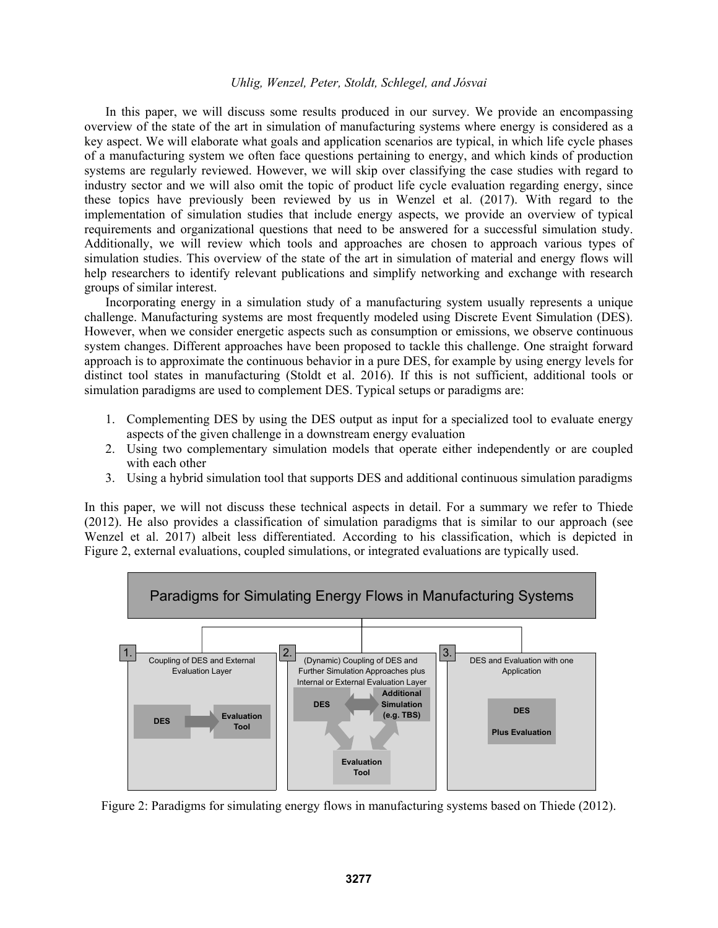In this paper, we will discuss some results produced in our survey. We provide an encompassing overview of the state of the art in simulation of manufacturing systems where energy is considered as a key aspect. We will elaborate what goals and application scenarios are typical, in which life cycle phases of a manufacturing system we often face questions pertaining to energy, and which kinds of production systems are regularly reviewed. However, we will skip over classifying the case studies with regard to industry sector and we will also omit the topic of product life cycle evaluation regarding energy, since these topics have previously been reviewed by us in Wenzel et al. (2017). With regard to the implementation of simulation studies that include energy aspects, we provide an overview of typical requirements and organizational questions that need to be answered for a successful simulation study. Additionally, we will review which tools and approaches are chosen to approach various types of simulation studies. This overview of the state of the art in simulation of material and energy flows will help researchers to identify relevant publications and simplify networking and exchange with research groups of similar interest.

 Incorporating energy in a simulation study of a manufacturing system usually represents a unique challenge. Manufacturing systems are most frequently modeled using Discrete Event Simulation (DES). However, when we consider energetic aspects such as consumption or emissions, we observe continuous system changes. Different approaches have been proposed to tackle this challenge. One straight forward approach is to approximate the continuous behavior in a pure DES, for example by using energy levels for distinct tool states in manufacturing (Stoldt et al. 2016). If this is not sufficient, additional tools or simulation paradigms are used to complement DES. Typical setups or paradigms are:

- 1. Complementing DES by using the DES output as input for a specialized tool to evaluate energy aspects of the given challenge in a downstream energy evaluation
- 2. Using two complementary simulation models that operate either independently or are coupled with each other
- 3. Using a hybrid simulation tool that supports DES and additional continuous simulation paradigms

In this paper, we will not discuss these technical aspects in detail. For a summary we refer to Thiede (2012). He also provides a classification of simulation paradigms that is similar to our approach (see Wenzel et al. 2017) albeit less differentiated. According to his classification, which is depicted in Figure 2, external evaluations, coupled simulations, or integrated evaluations are typically used.



Figure 2: Paradigms for simulating energy flows in manufacturing systems based on Thiede (2012).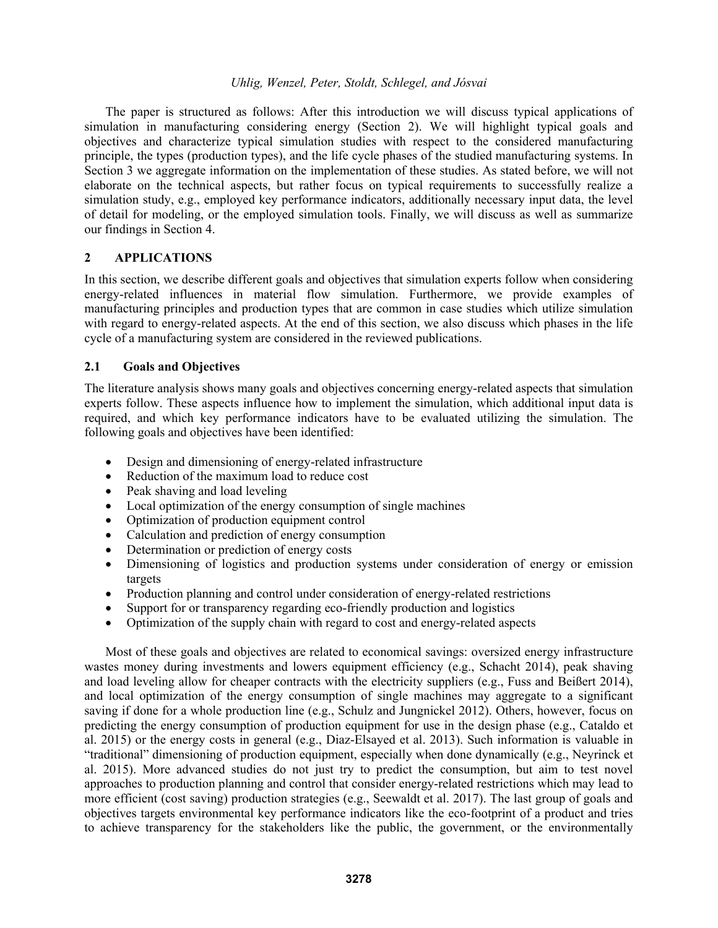The paper is structured as follows: After this introduction we will discuss typical applications of simulation in manufacturing considering energy (Section 2). We will highlight typical goals and objectives and characterize typical simulation studies with respect to the considered manufacturing principle, the types (production types), and the life cycle phases of the studied manufacturing systems. In Section 3 we aggregate information on the implementation of these studies. As stated before, we will not elaborate on the technical aspects, but rather focus on typical requirements to successfully realize a simulation study, e.g., employed key performance indicators, additionally necessary input data, the level of detail for modeling, or the employed simulation tools. Finally, we will discuss as well as summarize our findings in Section 4.

## **2 APPLICATIONS**

In this section, we describe different goals and objectives that simulation experts follow when considering energy-related influences in material flow simulation. Furthermore, we provide examples of manufacturing principles and production types that are common in case studies which utilize simulation with regard to energy-related aspects. At the end of this section, we also discuss which phases in the life cycle of a manufacturing system are considered in the reviewed publications.

### **2.1 Goals and Objectives**

The literature analysis shows many goals and objectives concerning energy-related aspects that simulation experts follow. These aspects influence how to implement the simulation, which additional input data is required, and which key performance indicators have to be evaluated utilizing the simulation. The following goals and objectives have been identified:

- Design and dimensioning of energy-related infrastructure
- Reduction of the maximum load to reduce cost
- Peak shaving and load leveling
- Local optimization of the energy consumption of single machines
- Optimization of production equipment control
- Calculation and prediction of energy consumption
- Determination or prediction of energy costs
- Dimensioning of logistics and production systems under consideration of energy or emission targets
- Production planning and control under consideration of energy-related restrictions
- Support for or transparency regarding eco-friendly production and logistics
- Optimization of the supply chain with regard to cost and energy-related aspects

Most of these goals and objectives are related to economical savings: oversized energy infrastructure wastes money during investments and lowers equipment efficiency (e.g., Schacht 2014), peak shaving and load leveling allow for cheaper contracts with the electricity suppliers (e.g., Fuss and Beißert 2014), and local optimization of the energy consumption of single machines may aggregate to a significant saving if done for a whole production line (e.g., Schulz and Jungnickel 2012). Others, however, focus on predicting the energy consumption of production equipment for use in the design phase (e.g., Cataldo et al. 2015) or the energy costs in general (e.g., Diaz-Elsayed et al. 2013). Such information is valuable in "traditional" dimensioning of production equipment, especially when done dynamically (e.g., Neyrinck et al. 2015). More advanced studies do not just try to predict the consumption, but aim to test novel approaches to production planning and control that consider energy-related restrictions which may lead to more efficient (cost saving) production strategies (e.g., Seewaldt et al. 2017). The last group of goals and objectives targets environmental key performance indicators like the eco-footprint of a product and tries to achieve transparency for the stakeholders like the public, the government, or the environmentally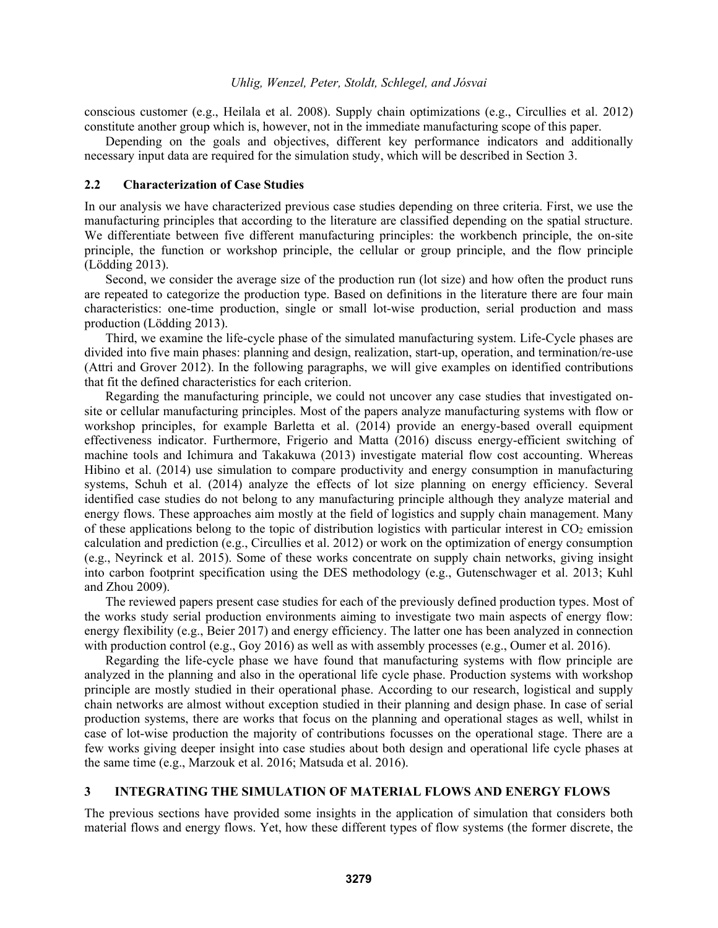conscious customer (e.g., Heilala et al. 2008). Supply chain optimizations (e.g., Circullies et al. 2012) constitute another group which is, however, not in the immediate manufacturing scope of this paper.

 Depending on the goals and objectives, different key performance indicators and additionally necessary input data are required for the simulation study, which will be described in Section 3.

#### **2.2 Characterization of Case Studies**

In our analysis we have characterized previous case studies depending on three criteria. First, we use the manufacturing principles that according to the literature are classified depending on the spatial structure. We differentiate between five different manufacturing principles: the workbench principle, the on-site principle, the function or workshop principle, the cellular or group principle, and the flow principle (Lödding 2013).

Second, we consider the average size of the production run (lot size) and how often the product runs are repeated to categorize the production type. Based on definitions in the literature there are four main characteristics: one-time production, single or small lot-wise production, serial production and mass production (Lödding 2013).

Third, we examine the life-cycle phase of the simulated manufacturing system. Life-Cycle phases are divided into five main phases: planning and design, realization, start-up, operation, and termination/re-use (Attri and Grover 2012). In the following paragraphs, we will give examples on identified contributions that fit the defined characteristics for each criterion.

Regarding the manufacturing principle, we could not uncover any case studies that investigated onsite or cellular manufacturing principles. Most of the papers analyze manufacturing systems with flow or workshop principles, for example Barletta et al. (2014) provide an energy-based overall equipment effectiveness indicator. Furthermore, Frigerio and Matta (2016) discuss energy-efficient switching of machine tools and Ichimura and Takakuwa (2013) investigate material flow cost accounting. Whereas Hibino et al. (2014) use simulation to compare productivity and energy consumption in manufacturing systems, Schuh et al. (2014) analyze the effects of lot size planning on energy efficiency. Several identified case studies do not belong to any manufacturing principle although they analyze material and energy flows. These approaches aim mostly at the field of logistics and supply chain management. Many of these applications belong to the topic of distribution logistics with particular interest in  $CO<sub>2</sub>$  emission calculation and prediction (e.g., Circullies et al. 2012) or work on the optimization of energy consumption (e.g., Neyrinck et al. 2015). Some of these works concentrate on supply chain networks, giving insight into carbon footprint specification using the DES methodology (e.g., Gutenschwager et al. 2013; Kuhl and Zhou 2009).

The reviewed papers present case studies for each of the previously defined production types. Most of the works study serial production environments aiming to investigate two main aspects of energy flow: energy flexibility (e.g., Beier 2017) and energy efficiency. The latter one has been analyzed in connection with production control (e.g., Goy 2016) as well as with assembly processes (e.g., Oumer et al. 2016).

Regarding the life-cycle phase we have found that manufacturing systems with flow principle are analyzed in the planning and also in the operational life cycle phase. Production systems with workshop principle are mostly studied in their operational phase. According to our research, logistical and supply chain networks are almost without exception studied in their planning and design phase. In case of serial production systems, there are works that focus on the planning and operational stages as well, whilst in case of lot-wise production the majority of contributions focusses on the operational stage. There are a few works giving deeper insight into case studies about both design and operational life cycle phases at the same time (e.g., Marzouk et al. 2016; Matsuda et al. 2016).

### **3 INTEGRATING THE SIMULATION OF MATERIAL FLOWS AND ENERGY FLOWS**

The previous sections have provided some insights in the application of simulation that considers both material flows and energy flows. Yet, how these different types of flow systems (the former discrete, the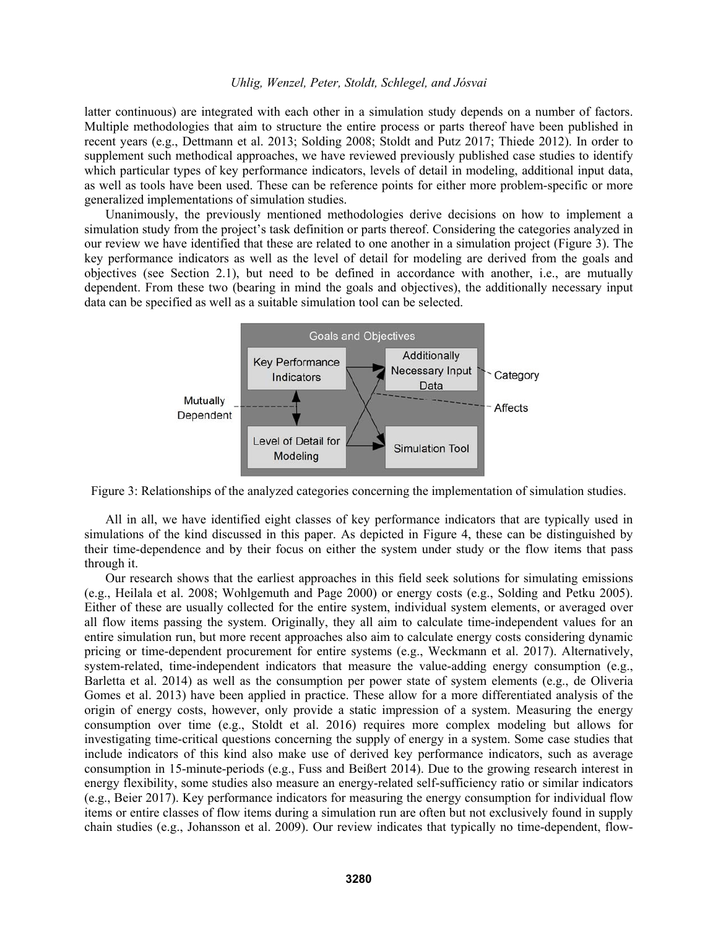latter continuous) are integrated with each other in a simulation study depends on a number of factors. Multiple methodologies that aim to structure the entire process or parts thereof have been published in recent years (e.g., Dettmann et al. 2013; Solding 2008; Stoldt and Putz 2017; Thiede 2012). In order to supplement such methodical approaches, we have reviewed previously published case studies to identify which particular types of key performance indicators, levels of detail in modeling, additional input data, as well as tools have been used. These can be reference points for either more problem-specific or more generalized implementations of simulation studies.

Unanimously, the previously mentioned methodologies derive decisions on how to implement a simulation study from the project's task definition or parts thereof. Considering the categories analyzed in our review we have identified that these are related to one another in a simulation project (Figure 3). The key performance indicators as well as the level of detail for modeling are derived from the goals and objectives (see Section 2.1), but need to be defined in accordance with another, i.e., are mutually dependent. From these two (bearing in mind the goals and objectives), the additionally necessary input data can be specified as well as a suitable simulation tool can be selected.



Figure 3: Relationships of the analyzed categories concerning the implementation of simulation studies.

All in all, we have identified eight classes of key performance indicators that are typically used in simulations of the kind discussed in this paper. As depicted in Figure 4, these can be distinguished by their time-dependence and by their focus on either the system under study or the flow items that pass through it.

Our research shows that the earliest approaches in this field seek solutions for simulating emissions (e.g., Heilala et al. 2008; Wohlgemuth and Page 2000) or energy costs (e.g., Solding and Petku 2005). Either of these are usually collected for the entire system, individual system elements, or averaged over all flow items passing the system. Originally, they all aim to calculate time-independent values for an entire simulation run, but more recent approaches also aim to calculate energy costs considering dynamic pricing or time-dependent procurement for entire systems (e.g., Weckmann et al. 2017). Alternatively, system-related, time-independent indicators that measure the value-adding energy consumption (e.g., Barletta et al. 2014) as well as the consumption per power state of system elements (e.g., de Oliveria Gomes et al. 2013) have been applied in practice. These allow for a more differentiated analysis of the origin of energy costs, however, only provide a static impression of a system. Measuring the energy consumption over time (e.g., Stoldt et al. 2016) requires more complex modeling but allows for investigating time-critical questions concerning the supply of energy in a system. Some case studies that include indicators of this kind also make use of derived key performance indicators, such as average consumption in 15-minute-periods (e.g., Fuss and Beißert 2014). Due to the growing research interest in energy flexibility, some studies also measure an energy-related self-sufficiency ratio or similar indicators (e.g., Beier 2017). Key performance indicators for measuring the energy consumption for individual flow items or entire classes of flow items during a simulation run are often but not exclusively found in supply chain studies (e.g., Johansson et al. 2009). Our review indicates that typically no time-dependent, flow-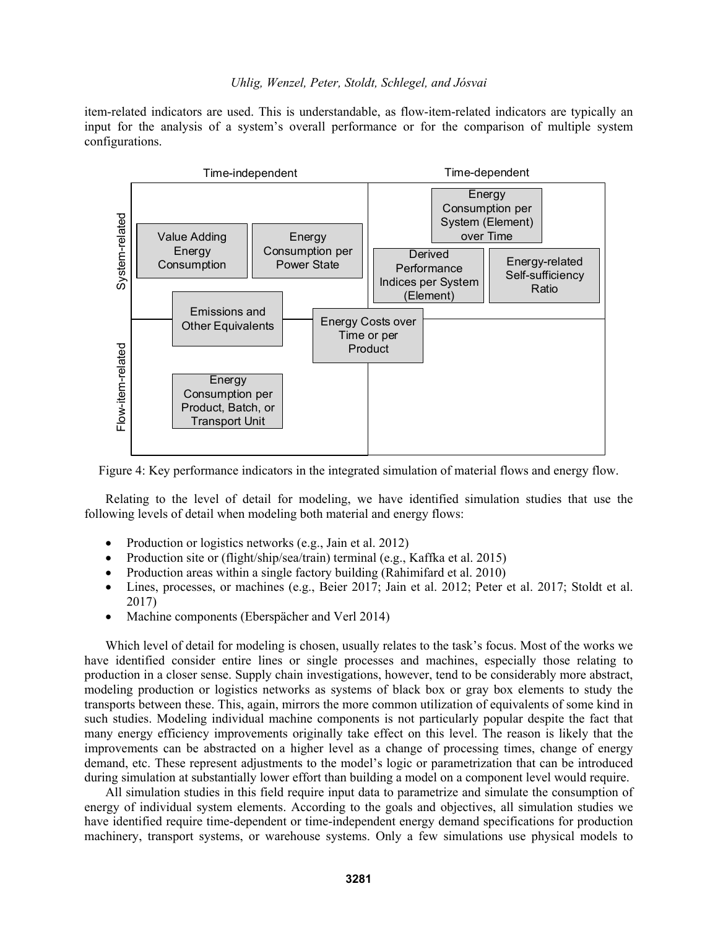item-related indicators are used. This is understandable, as flow-item-related indicators are typically an input for the analysis of a system's overall performance or for the comparison of multiple system configurations.



Figure 4: Key performance indicators in the integrated simulation of material flows and energy flow.

Relating to the level of detail for modeling, we have identified simulation studies that use the following levels of detail when modeling both material and energy flows:

- Production or logistics networks (e.g., Jain et al. 2012)
- Production site or (flight/ship/sea/train) terminal (e.g., Kaffka et al. 2015)
- Production areas within a single factory building (Rahimifard et al. 2010)
- Lines, processes, or machines (e.g., Beier 2017; Jain et al. 2012; Peter et al. 2017; Stoldt et al. 2017)
- Machine components (Eberspächer and Verl 2014)

Which level of detail for modeling is chosen, usually relates to the task's focus. Most of the works we have identified consider entire lines or single processes and machines, especially those relating to production in a closer sense. Supply chain investigations, however, tend to be considerably more abstract, modeling production or logistics networks as systems of black box or gray box elements to study the transports between these. This, again, mirrors the more common utilization of equivalents of some kind in such studies. Modeling individual machine components is not particularly popular despite the fact that many energy efficiency improvements originally take effect on this level. The reason is likely that the improvements can be abstracted on a higher level as a change of processing times, change of energy demand, etc. These represent adjustments to the model's logic or parametrization that can be introduced during simulation at substantially lower effort than building a model on a component level would require.

All simulation studies in this field require input data to parametrize and simulate the consumption of energy of individual system elements. According to the goals and objectives, all simulation studies we have identified require time-dependent or time-independent energy demand specifications for production machinery, transport systems, or warehouse systems. Only a few simulations use physical models to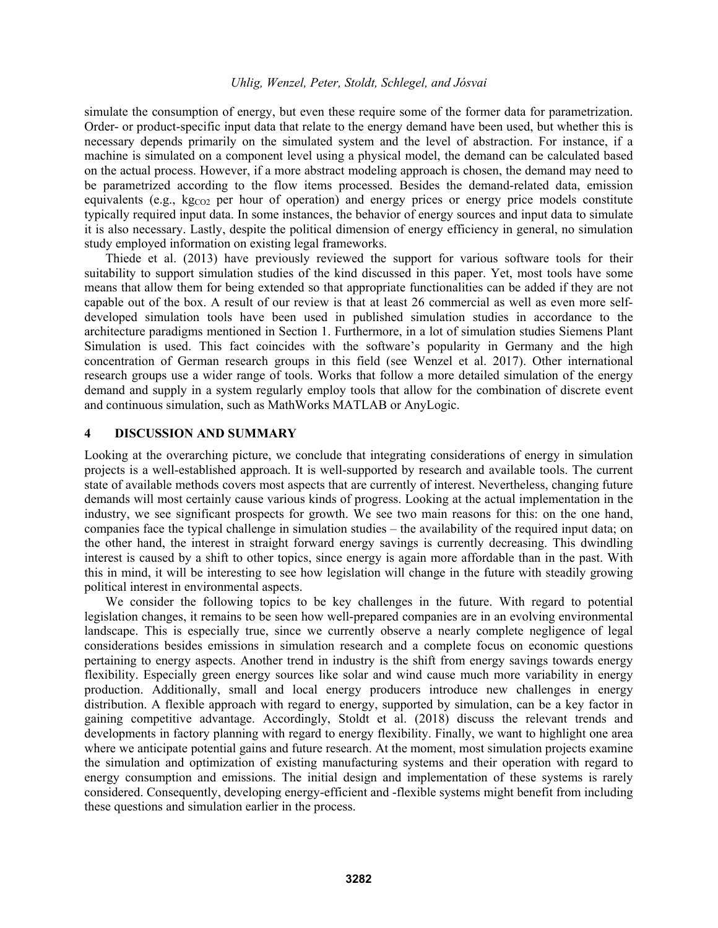simulate the consumption of energy, but even these require some of the former data for parametrization. Order- or product-specific input data that relate to the energy demand have been used, but whether this is necessary depends primarily on the simulated system and the level of abstraction. For instance, if a machine is simulated on a component level using a physical model, the demand can be calculated based on the actual process. However, if a more abstract modeling approach is chosen, the demand may need to be parametrized according to the flow items processed. Besides the demand-related data, emission equivalents (e.g., kg<sub>cO2</sub> per hour of operation) and energy prices or energy price models constitute typically required input data. In some instances, the behavior of energy sources and input data to simulate it is also necessary. Lastly, despite the political dimension of energy efficiency in general, no simulation study employed information on existing legal frameworks.

Thiede et al. (2013) have previously reviewed the support for various software tools for their suitability to support simulation studies of the kind discussed in this paper. Yet, most tools have some means that allow them for being extended so that appropriate functionalities can be added if they are not capable out of the box. A result of our review is that at least 26 commercial as well as even more selfdeveloped simulation tools have been used in published simulation studies in accordance to the architecture paradigms mentioned in Section 1. Furthermore, in a lot of simulation studies Siemens Plant Simulation is used. This fact coincides with the software's popularity in Germany and the high concentration of German research groups in this field (see Wenzel et al. 2017). Other international research groups use a wider range of tools. Works that follow a more detailed simulation of the energy demand and supply in a system regularly employ tools that allow for the combination of discrete event and continuous simulation, such as MathWorks MATLAB or AnyLogic.

#### **4 DISCUSSION AND SUMMARY**

Looking at the overarching picture, we conclude that integrating considerations of energy in simulation projects is a well-established approach. It is well-supported by research and available tools. The current state of available methods covers most aspects that are currently of interest. Nevertheless, changing future demands will most certainly cause various kinds of progress. Looking at the actual implementation in the industry, we see significant prospects for growth. We see two main reasons for this: on the one hand, companies face the typical challenge in simulation studies – the availability of the required input data; on the other hand, the interest in straight forward energy savings is currently decreasing. This dwindling interest is caused by a shift to other topics, since energy is again more affordable than in the past. With this in mind, it will be interesting to see how legislation will change in the future with steadily growing political interest in environmental aspects.

We consider the following topics to be key challenges in the future. With regard to potential legislation changes, it remains to be seen how well-prepared companies are in an evolving environmental landscape. This is especially true, since we currently observe a nearly complete negligence of legal considerations besides emissions in simulation research and a complete focus on economic questions pertaining to energy aspects. Another trend in industry is the shift from energy savings towards energy flexibility. Especially green energy sources like solar and wind cause much more variability in energy production. Additionally, small and local energy producers introduce new challenges in energy distribution. A flexible approach with regard to energy, supported by simulation, can be a key factor in gaining competitive advantage. Accordingly, Stoldt et al. (2018) discuss the relevant trends and developments in factory planning with regard to energy flexibility. Finally, we want to highlight one area where we anticipate potential gains and future research. At the moment, most simulation projects examine the simulation and optimization of existing manufacturing systems and their operation with regard to energy consumption and emissions. The initial design and implementation of these systems is rarely considered. Consequently, developing energy-efficient and -flexible systems might benefit from including these questions and simulation earlier in the process.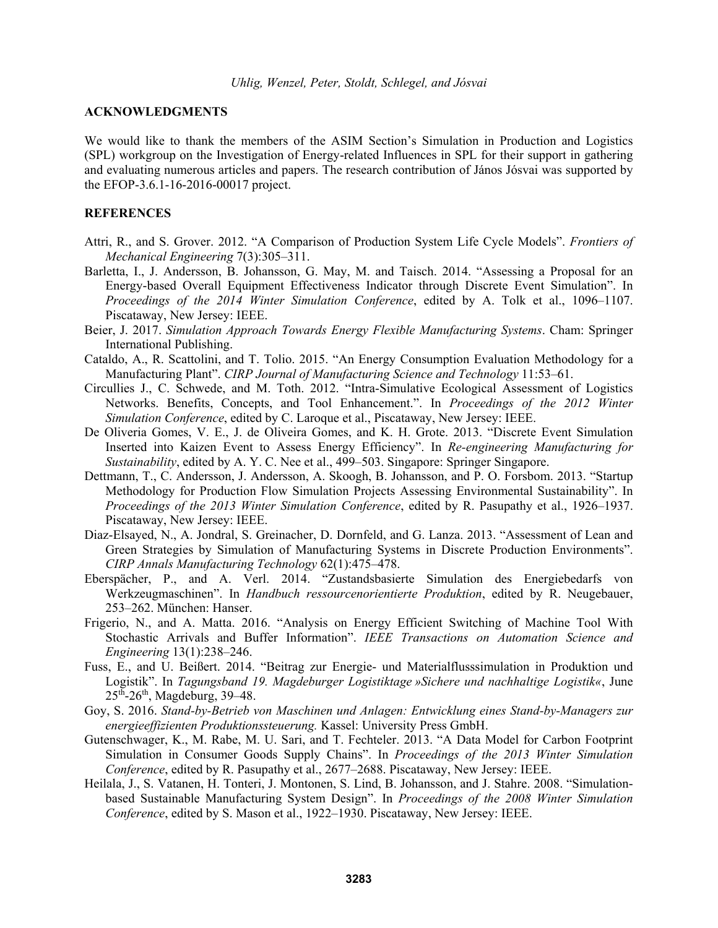#### **ACKNOWLEDGMENTS**

We would like to thank the members of the ASIM Section's Simulation in Production and Logistics (SPL) workgroup on the Investigation of Energy-related Influences in SPL for their support in gathering and evaluating numerous articles and papers. The research contribution of János Jósvai was supported by the EFOP-3.6.1-16-2016-00017 project.

#### **REFERENCES**

- Attri, R., and S. Grover. 2012. "A Comparison of Production System Life Cycle Models". *Frontiers of Mechanical Engineering* 7(3):305–311.
- Barletta, I., J. Andersson, B. Johansson, G. May, M. and Taisch. 2014. "Assessing a Proposal for an Energy-based Overall Equipment Effectiveness Indicator through Discrete Event Simulation". In *Proceedings of the 2014 Winter Simulation Conference*, edited by A. Tolk et al., 1096–1107. Piscataway, New Jersey: IEEE.
- Beier, J. 2017. *Simulation Approach Towards Energy Flexible Manufacturing Systems*. Cham: Springer International Publishing.
- Cataldo, A., R. Scattolini, and T. Tolio. 2015. "An Energy Consumption Evaluation Methodology for a Manufacturing Plant". *CIRP Journal of Manufacturing Science and Technology* 11:53–61.
- Circullies J., C. Schwede, and M. Toth. 2012. "Intra-Simulative Ecological Assessment of Logistics Networks. Benefits, Concepts, and Tool Enhancement.". In *Proceedings of the 2012 Winter Simulation Conference*, edited by C. Laroque et al., Piscataway, New Jersey: IEEE.
- De Oliveria Gomes, V. E., J. de Oliveira Gomes, and K. H. Grote. 2013. "Discrete Event Simulation Inserted into Kaizen Event to Assess Energy Efficiency". In *Re-engineering Manufacturing for Sustainability*, edited by A. Y. C. Nee et al., 499–503. Singapore: Springer Singapore.
- Dettmann, T., C. Andersson, J. Andersson, A. Skoogh, B. Johansson, and P. O. Forsbom. 2013. "Startup Methodology for Production Flow Simulation Projects Assessing Environmental Sustainability". In *Proceedings of the 2013 Winter Simulation Conference*, edited by R. Pasupathy et al., 1926–1937. Piscataway, New Jersey: IEEE.
- Diaz-Elsayed, N., A. Jondral, S. Greinacher, D. Dornfeld, and G. Lanza. 2013. "Assessment of Lean and Green Strategies by Simulation of Manufacturing Systems in Discrete Production Environments". *CIRP Annals Manufacturing Technology* 62(1):475–478.
- Eberspächer, P., and A. Verl. 2014. "Zustandsbasierte Simulation des Energiebedarfs von Werkzeugmaschinen". In *Handbuch ressourcenorientierte Produktion*, edited by R. Neugebauer, 253–262. München: Hanser.
- Frigerio, N., and A. Matta. 2016. "Analysis on Energy Efficient Switching of Machine Tool With Stochastic Arrivals and Buffer Information". *IEEE Transactions on Automation Science and Engineering* 13(1):238–246.
- Fuss, E., and U. Beißert. 2014. "Beitrag zur Energie- und Materialflusssimulation in Produktion und Logistik". In *Tagungsband 19. Magdeburger Logistiktage »Sichere und nachhaltige Logistik«*, June  $25^{th}$ -26<sup>th</sup>, Magdeburg, 39–48.
- Goy, S. 2016. *Stand-by-Betrieb von Maschinen und Anlagen: Entwicklung eines Stand-by-Managers zur energieeffizienten Produktionssteuerung.* Kassel: University Press GmbH.
- Gutenschwager, K., M. Rabe, M. U. Sari, and T. Fechteler. 2013. "A Data Model for Carbon Footprint Simulation in Consumer Goods Supply Chains". In *Proceedings of the 2013 Winter Simulation Conference*, edited by R. Pasupathy et al., 2677–2688. Piscataway, New Jersey: IEEE.
- Heilala, J., S. Vatanen, H. Tonteri, J. Montonen, S. Lind, B. Johansson, and J. Stahre. 2008. "Simulationbased Sustainable Manufacturing System Design". In *Proceedings of the 2008 Winter Simulation Conference*, edited by S. Mason et al., 1922–1930. Piscataway, New Jersey: IEEE.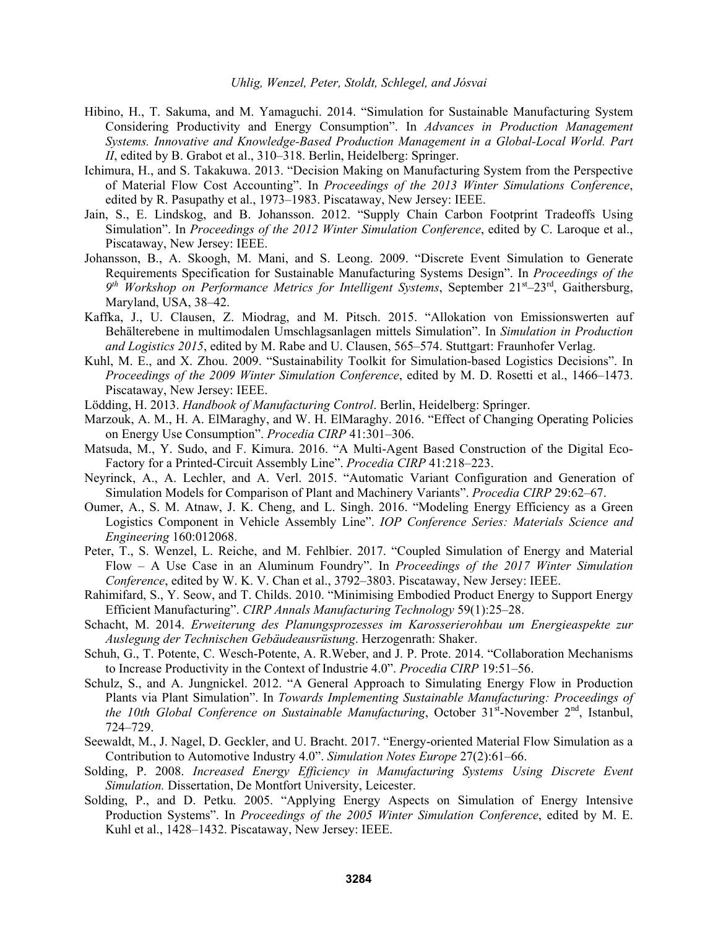- Hibino, H., T. Sakuma, and M. Yamaguchi. 2014. "Simulation for Sustainable Manufacturing System Considering Productivity and Energy Consumption". In *Advances in Production Management Systems. Innovative and Knowledge-Based Production Management in a Global-Local World. Part II*, edited by B. Grabot et al., 310–318. Berlin, Heidelberg: Springer.
- Ichimura, H., and S. Takakuwa. 2013. "Decision Making on Manufacturing System from the Perspective of Material Flow Cost Accounting". In *Proceedings of the 2013 Winter Simulations Conference*, edited by R. Pasupathy et al., 1973–1983. Piscataway, New Jersey: IEEE.
- Jain, S., E. Lindskog, and B. Johansson. 2012. "Supply Chain Carbon Footprint Tradeoffs Using Simulation". In *Proceedings of the 2012 Winter Simulation Conference*, edited by C. Laroque et al., Piscataway, New Jersey: IEEE.
- Johansson, B., A. Skoogh, M. Mani, and S. Leong. 2009. "Discrete Event Simulation to Generate Requirements Specification for Sustainable Manufacturing Systems Design". In *Proceedings of the 9th Workshop on Performance Metrics for Intelligent Systems*, September 21st–23rd, Gaithersburg, Maryland, USA, 38–42.
- Kaffka, J., U. Clausen, Z. Miodrag, and M. Pitsch. 2015. "Allokation von Emissionswerten auf Behälterebene in multimodalen Umschlagsanlagen mittels Simulation". In *Simulation in Production and Logistics 2015*, edited by M. Rabe and U. Clausen, 565–574. Stuttgart: Fraunhofer Verlag.
- Kuhl, M. E., and X. Zhou. 2009. "Sustainability Toolkit for Simulation-based Logistics Decisions". In *Proceedings of the 2009 Winter Simulation Conference*, edited by M. D. Rosetti et al., 1466–1473. Piscataway, New Jersey: IEEE.
- Lödding, H. 2013. *Handbook of Manufacturing Control*. Berlin, Heidelberg: Springer.
- Marzouk, A. M., H. A. ElMaraghy, and W. H. ElMaraghy. 2016. "Effect of Changing Operating Policies on Energy Use Consumption". *Procedia CIRP* 41:301–306.
- Matsuda, M., Y. Sudo, and F. Kimura. 2016. "A Multi-Agent Based Construction of the Digital Eco-Factory for a Printed-Circuit Assembly Line". *Procedia CIRP* 41:218–223.
- Neyrinck, A., A. Lechler, and A. Verl. 2015. "Automatic Variant Configuration and Generation of Simulation Models for Comparison of Plant and Machinery Variants". *Procedia CIRP* 29:62–67.
- Oumer, A., S. M. Atnaw, J. K. Cheng, and L. Singh. 2016. "Modeling Energy Efficiency as a Green Logistics Component in Vehicle Assembly Line". *IOP Conference Series: Materials Science and Engineering* 160:012068.
- Peter, T., S. Wenzel, L. Reiche, and M. Fehlbier. 2017. "Coupled Simulation of Energy and Material Flow – A Use Case in an Aluminum Foundry". In *Proceedings of the 2017 Winter Simulation Conference*, edited by W. K. V. Chan et al., 3792–3803. Piscataway, New Jersey: IEEE.
- Rahimifard, S., Y. Seow, and T. Childs. 2010. "Minimising Embodied Product Energy to Support Energy Efficient Manufacturing". *CIRP Annals Manufacturing Technology* 59(1):25–28.
- Schacht, M. 2014. *Erweiterung des Planungsprozesses im Karosserierohbau um Energieaspekte zur Auslegung der Technischen Gebäudeausrüstung*. Herzogenrath: Shaker.
- Schuh, G., T. Potente, C. Wesch-Potente, A. R.Weber, and J. P. Prote. 2014. "Collaboration Mechanisms to Increase Productivity in the Context of Industrie 4.0". *Procedia CIRP* 19:51–56.
- Schulz, S., and A. Jungnickel. 2012. "A General Approach to Simulating Energy Flow in Production Plants via Plant Simulation". In *Towards Implementing Sustainable Manufacturing: Proceedings of the 10th Global Conference on Sustainable Manufacturing*, October 31<sup>st</sup>-November 2<sup>nd</sup>, Istanbul, 724–729.
- Seewaldt, M., J. Nagel, D. Geckler, and U. Bracht. 2017. "Energy-oriented Material Flow Simulation as a Contribution to Automotive Industry 4.0". *Simulation Notes Europe* 27(2):61–66.
- Solding, P. 2008. *Increased Energy Efficiency in Manufacturing Systems Using Discrete Event Simulation.* Dissertation, De Montfort University, Leicester.
- Solding, P., and D. Petku. 2005. "Applying Energy Aspects on Simulation of Energy Intensive Production Systems". In *Proceedings of the 2005 Winter Simulation Conference*, edited by M. E. Kuhl et al., 1428–1432. Piscataway, New Jersey: IEEE.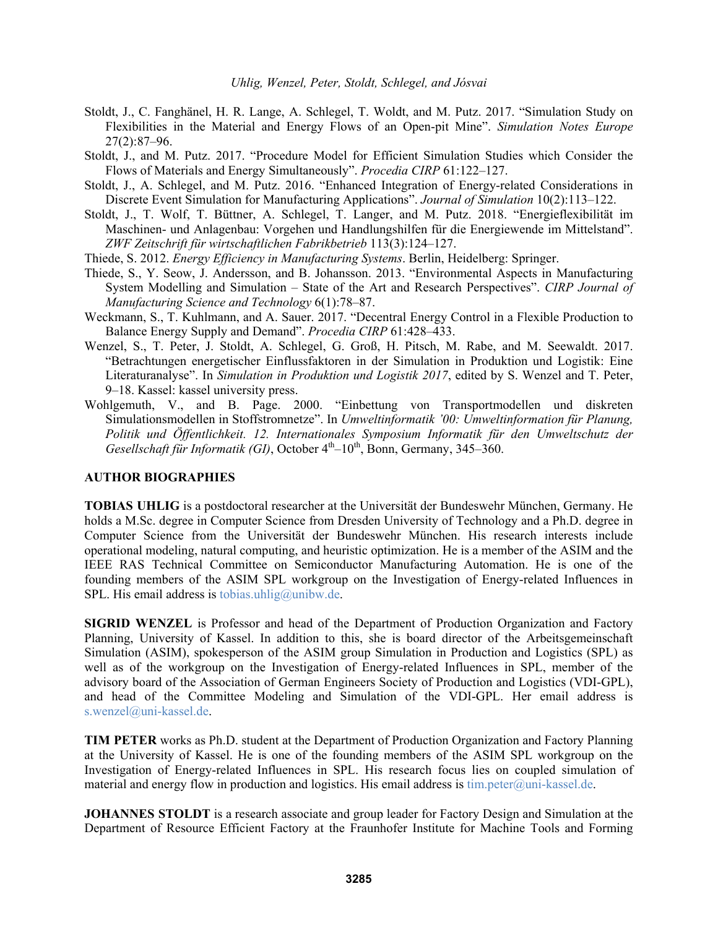- Stoldt, J., C. Fanghänel, H. R. Lange, A. Schlegel, T. Woldt, and M. Putz. 2017. "Simulation Study on Flexibilities in the Material and Energy Flows of an Open-pit Mine". *Simulation Notes Europe* 27(2):87–96.
- Stoldt, J., and M. Putz. 2017. "Procedure Model for Efficient Simulation Studies which Consider the Flows of Materials and Energy Simultaneously". *Procedia CIRP* 61:122–127.
- Stoldt, J., A. Schlegel, and M. Putz. 2016. "Enhanced Integration of Energy-related Considerations in Discrete Event Simulation for Manufacturing Applications". *Journal of Simulation* 10(2):113–122.
- Stoldt, J., T. Wolf, T. Büttner, A. Schlegel, T. Langer, and M. Putz. 2018. "Energieflexibilität im Maschinen- und Anlagenbau: Vorgehen und Handlungshilfen für die Energiewende im Mittelstand". *ZWF Zeitschrift für wirtschaftlichen Fabrikbetrieb* 113(3):124–127.
- Thiede, S. 2012. *Energy Efficiency in Manufacturing Systems*. Berlin, Heidelberg: Springer.
- Thiede, S., Y. Seow, J. Andersson, and B. Johansson. 2013. "Environmental Aspects in Manufacturing System Modelling and Simulation – State of the Art and Research Perspectives". *CIRP Journal of Manufacturing Science and Technology* 6(1):78–87.
- Weckmann, S., T. Kuhlmann, and A. Sauer. 2017. "Decentral Energy Control in a Flexible Production to Balance Energy Supply and Demand". *Procedia CIRP* 61:428–433.
- Wenzel, S., T. Peter, J. Stoldt, A. Schlegel, G. Groß, H. Pitsch, M. Rabe, and M. Seewaldt. 2017. "Betrachtungen energetischer Einflussfaktoren in der Simulation in Produktion und Logistik: Eine Literaturanalyse". In *Simulation in Produktion und Logistik 2017*, edited by S. Wenzel and T. Peter, 9–18. Kassel: kassel university press.
- Wohlgemuth, V., and B. Page. 2000. "Einbettung von Transportmodellen und diskreten Simulationsmodellen in Stoffstromnetze". In *Umweltinformatik '00: Umweltinformation für Planung, Politik und Öffentlichkeit. 12. Internationales Symposium Informatik für den Umweltschutz der Gesellschaft für Informatik (GI)*, October 4<sup>th</sup>-10<sup>th</sup>, Bonn, Germany, 345-360.

### **AUTHOR BIOGRAPHIES**

**TOBIAS UHLIG** is a postdoctoral researcher at the Universität der Bundeswehr München, Germany. He holds a M.Sc. degree in Computer Science from Dresden University of Technology and a Ph.D. degree in Computer Science from the Universität der Bundeswehr München. His research interests include operational modeling, natural computing, and heuristic optimization. He is a member of the ASIM and the IEEE RAS Technical Committee on Semiconductor Manufacturing Automation. He is one of the founding members of the ASIM SPL workgroup on the Investigation of Energy-related Influences in SPL. His email address is tobias.uhlig@unibw.de.

**SIGRID WENZEL** is Professor and head of the Department of Production Organization and Factory Planning, University of Kassel. In addition to this, she is board director of the Arbeitsgemeinschaft Simulation (ASIM), spokesperson of the ASIM group Simulation in Production and Logistics (SPL) as well as of the workgroup on the Investigation of Energy-related Influences in SPL, member of the advisory board of the Association of German Engineers Society of Production and Logistics (VDI-GPL), and head of the Committee Modeling and Simulation of the VDI-GPL. Her email address is s.wenzel@uni-kassel.de.

**TIM PETER** works as Ph.D. student at the Department of Production Organization and Factory Planning at the University of Kassel. He is one of the founding members of the ASIM SPL workgroup on the Investigation of Energy-related Influences in SPL. His research focus lies on coupled simulation of material and energy flow in production and logistics. His email address is tim.peter@uni-kassel.de.

**JOHANNES STOLDT** is a research associate and group leader for Factory Design and Simulation at the Department of Resource Efficient Factory at the Fraunhofer Institute for Machine Tools and Forming